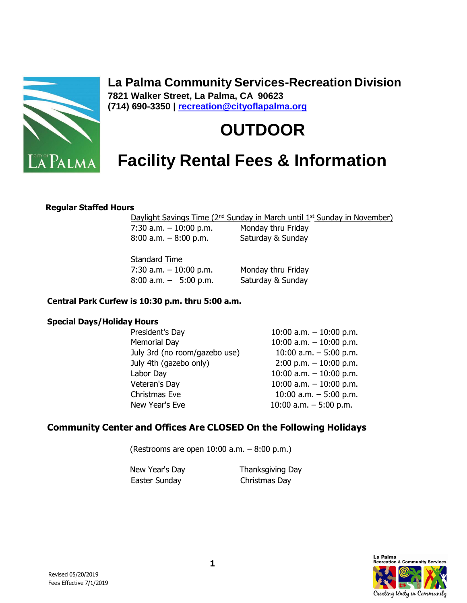

**La Palma Community Services-Recreation Division 7821 Walker Street, La Palma, CA 90623 (714) 690-3350 | [recreation@cityoflapalma.org](mailto:recreation@cityoflapalma.org)**

# **OUTDOOR**

## **Facility Rental Fees & Information**

#### **Regular Staffed Hours**

Daylight Savings Time (2<sup>nd</sup> Sunday in March until 1<sup>st</sup> Sunday in November)

 $7:30$  a.m.  $-10:00$  p.m. Monday thru Friday 8:00 a.m. – 8:00 p.m. Saturday & Sunday

Standard Time

 $7:30$  a.m.  $-10:00$  p.m. Monday thru Friday 8:00 a.m. – 5:00 p.m. Saturday & Sunday

#### **Central Park Curfew is 10:30 p.m. thru 5:00 a.m.**

#### **Special Days/Holiday Hours**

| President's Day               | 10:00 a.m. $-$ 10:00 p.m. |
|-------------------------------|---------------------------|
| Memorial Day                  | 10:00 a.m. $-$ 10:00 p.m. |
| July 3rd (no room/gazebo use) | 10:00 a.m. $-5:00$ p.m.   |
| July 4th (gazebo only)        | $2:00$ p.m. $-10:00$ p.m. |
| Labor Day                     | 10:00 a.m. $-$ 10:00 p.m. |
| Veteran's Day                 | 10:00 a.m. $-$ 10:00 p.m. |
| Christmas Eve                 | 10:00 a.m. $-5:00$ p.m.   |
| New Year's Eve                | 10:00 a.m. $-5:00$ p.m.   |

#### **Community Center and Offices Are CLOSED On the Following Holidays**

(Restrooms are open 10:00 a.m. – 8:00 p.m.)

New Year's Day **Thanksgiving Day** Easter Sunday Christmas Day

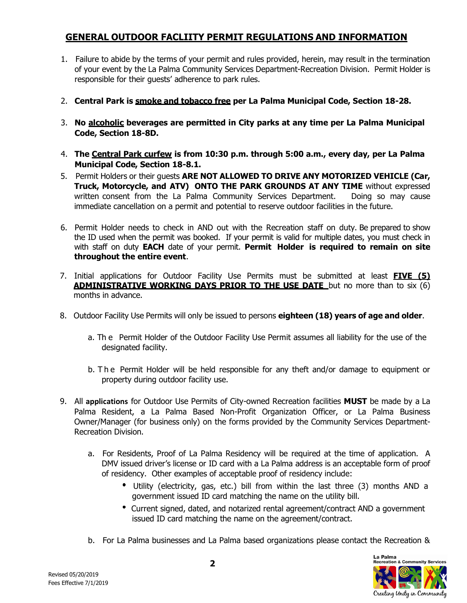#### **GENERAL OUTDOOR FACLIITY PERMIT REGULATIONS AND INFORMATION**

- 1. Failure to abide by the terms of your permit and rules provided, herein, may result in the termination of your event by the La Palma Community Services Department-Recreation Division. Permit Holder is responsible for their guests' adherence to park rules.
- 2. **Central Park is smoke and tobacco free per La Palma Municipal Code, Section 18-28.**
- 3. **No alcoholic beverages are permitted in City parks at any time per La Palma Municipal Code, Section 18-8D.**
- 4. **The Central Park curfew is from 10:30 p.m. through 5:00 a.m., every day, per La Palma Municipal Code, Section 18-8.1.**
- 5. Permit Holders or their guests **ARE NOT ALLOWED TO DRIVE ANY MOTORIZED VEHICLE (Car, Truck, Motorcycle, and ATV) ONTO THE PARK GROUNDS AT ANY TIME** without expressed written consent from the La Palma Community Services Department. Doing so may cause immediate cancellation on a permit and potential to reserve outdoor facilities in the future.
- 6. Permit Holder needs to check in AND out with the Recreation staff on duty. Be prepared to show the ID used when the permit was booked. If your permit is valid for multiple dates, you must check in with staff on duty **EACH** date of your permit. **Permit Holder is required to remain on site throughout the entire event**.
- 7. Initial applications for Outdoor Facility Use Permits must be submitted at least **FIVE (5) ADMINISTRATIVE WORKING DAYS PRIOR TO THE USE DATE** but no more than to six (6) months in advance.
- 8. Outdoor Facility Use Permits will only be issued to persons **eighteen (18) years of age and older**.
	- a. Th e Permit Holder of the Outdoor Facility Use Permit assumes all liability for the use of the designated facility.
	- b. The Permit Holder will be held responsible for any theft and/or damage to equipment or property during outdoor facility use.
- 9. All **applications** for Outdoor Use Permits of City-owned Recreation facilities **MUST** be made by a La Palma Resident, a La Palma Based Non-Profit Organization Officer, or La Palma Business Owner/Manager (for business only) on the forms provided by the Community Services Department-Recreation Division.
	- a. For Residents, Proof of La Palma Residency will be required at the time of application. A DMV issued driver's license or ID card with a La Palma address is an acceptable form of proof of residency. Other examples of acceptable proof of residency include:
		- Utility (electricity, gas, etc.) bill from within the last three (3) months AND a government issued ID card matching the name on the utility bill.
		- Current signed, dated, and notarized rental agreement/contract AND a government issued ID card matching the name on the agreement/contract.
	- b. For La Palma businesses and La Palma based organizations please contact the Recreation &

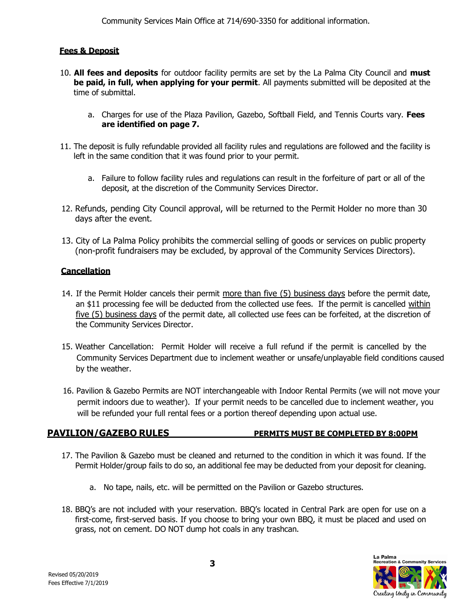#### **Fees & Deposit**

- 10. **All fees and deposits** for outdoor facility permits are set by the La Palma City Council and **must be paid, in full, when applying for your permit**. All payments submitted will be deposited at the time of submittal.
	- a. Charges for use of the Plaza Pavilion, Gazebo, Softball Field, and Tennis Courts vary. **Fees are identified on page 7.**
- 11. The deposit is fully refundable provided all facility rules and regulations are followed and the facility is left in the same condition that it was found prior to your permit.
	- a. Failure to follow facility rules and regulations can result in the forfeiture of part or all of the deposit, at the discretion of the Community Services Director.
- 12. Refunds, pending City Council approval, will be returned to the Permit Holder no more than 30 days after the event.
- 13. City of La Palma Policy prohibits the commercial selling of goods or services on public property (non-profit fundraisers may be excluded, by approval of the Community Services Directors).

#### **Cancellation**

- 14. If the Permit Holder cancels their permit more than five (5) business days before the permit date, an \$11 processing fee will be deducted from the collected use fees. If the permit is cancelled within five (5) business days of the permit date, all collected use fees can be forfeited, at the discretion of the Community Services Director.
- 15. Weather Cancellation: Permit Holder will receive a full refund if the permit is cancelled by the Community Services Department due to inclement weather or unsafe/unplayable field conditions caused by the weather.
- 16. Pavilion & Gazebo Permits are NOT interchangeable with Indoor Rental Permits (we will not move your permit indoors due to weather). If your permit needs to be cancelled due to inclement weather, you will be refunded your full rental fees or a portion thereof depending upon actual use.

#### **PAVILION/GAZEBO RULES PERMITS MUST BE COMPLETED BY 8:00PM**

- 17. The Pavilion & Gazebo must be cleaned and returned to the condition in which it was found. If the Permit Holder/group fails to do so, an additional fee may be deducted from your deposit for cleaning.
	- a. No tape, nails, etc. will be permitted on the Pavilion or Gazebo structures.
- 18. BBQ's are not included with your reservation. BBQ's located in Central Park are open for use on a first-come, first-served basis. If you choose to bring your own BBQ, it must be placed and used on grass, not on cement. DO NOT dump hot coals in any trashcan.

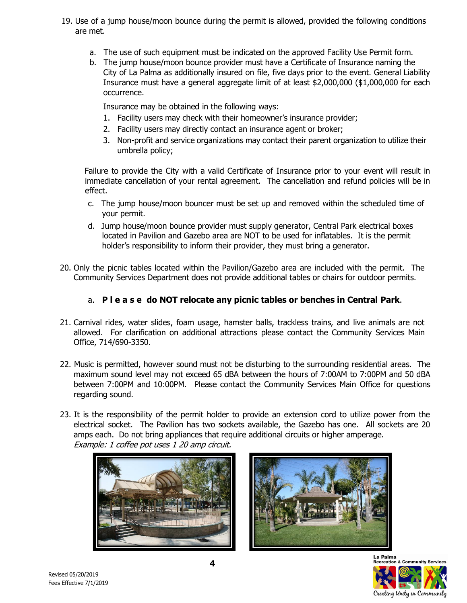- 19. Use of a jump house/moon bounce during the permit is allowed, provided the following conditions are met.
	- a. The use of such equipment must be indicated on the approved Facility Use Permit form.
	- b. The jump house/moon bounce provider must have a Certificate of Insurance naming the City of La Palma as additionally insured on file, five days prior to the event. General Liability Insurance must have a general aggregate limit of at least \$2,000,000 (\$1,000,000 for each occurrence.

Insurance may be obtained in the following ways:

- 1. Facility users may check with their homeowner's insurance provider;
- 2. Facility users may directly contact an insurance agent or broker;
- 3. Non-profit and service organizations may contact their parent organization to utilize their umbrella policy;

Failure to provide the City with a valid Certificate of Insurance prior to your event will result in immediate cancellation of your rental agreement. The cancellation and refund policies will be in effect.

- c. The jump house/moon bouncer must be set up and removed within the scheduled time of your permit.
- d. Jump house/moon bounce provider must supply generator, Central Park electrical boxes located in Pavilion and Gazebo area are NOT to be used for inflatables. It is the permit holder's responsibility to inform their provider, they must bring a generator.
- 20. Only the picnic tables located within the Pavilion/Gazebo area are included with the permit. The Community Services Department does not provide additional tables or chairs for outdoor permits.

#### a. **P l e a s e do NOT relocate any picnic tables or benches in Central Park**.

- 21. Carnival rides, water slides, foam usage, hamster balls, trackless trains, and live animals are not allowed. For clarification on additional attractions please contact the Community Services Main Office, 714/690-3350.
- 22. Music is permitted, however sound must not be disturbing to the surrounding residential areas. The maximum sound level may not exceed 65 dBA between the hours of 7:00AM to 7:00PM and 50 dBA between 7:00PM and 10:00PM. Please contact the Community Services Main Office for questions regarding sound.
- 23. It is the responsibility of the permit holder to provide an extension cord to utilize power from the electrical socket. The Pavilion has two sockets available, the Gazebo has one. All sockets are 20 amps each. Do not bring appliances that require additional circuits or higher amperage. Example: 1 coffee pot uses 1 20 amp circuit.





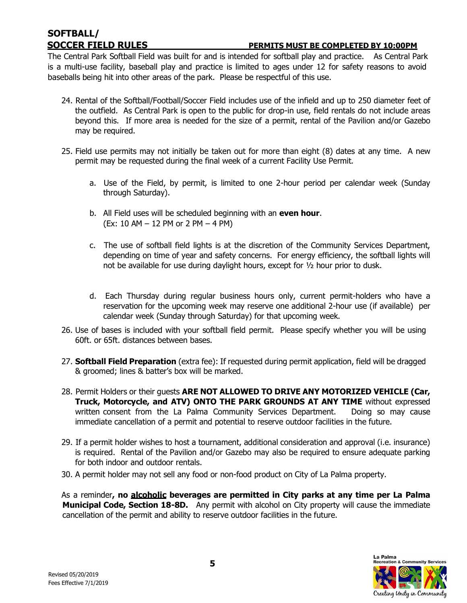# **SOFTBALL/**

#### **SOCCER FIELD RULES PERMITS MUST BE COMPLETED BY 10:00PM**

The Central Park Softball Field was built for and is intended for softball play and practice. As Central Park is a multi-use facility, baseball play and practice is limited to ages under 12 for safety reasons to avoid baseballs being hit into other areas of the park. Please be respectful of this use.

- 24. Rental of the Softball/Football/Soccer Field includes use of the infield and up to 250 diameter feet of the outfield. As Central Park is open to the public for drop-in use, field rentals do not include areas beyond this. If more area is needed for the size of a permit, rental of the Pavilion and/or Gazebo may be required.
- 25. Field use permits may not initially be taken out for more than eight (8) dates at any time. A new permit may be requested during the final week of a current Facility Use Permit.
	- a. Use of the Field, by permit, is limited to one 2-hour period per calendar week (Sunday through Saturday).
	- b. All Field uses will be scheduled beginning with an **even hour**. (Ex: 10 AM – 12 PM or 2 PM – 4 PM)
	- c. The use of softball field lights is at the discretion of the Community Services Department, depending on time of year and safety concerns. For energy efficiency, the softball lights will not be available for use during daylight hours, except for ½ hour prior to dusk.
	- d. Each Thursday during regular business hours only, current permit-holders who have a reservation for the upcoming week may reserve one additional 2-hour use (if available) per calendar week (Sunday through Saturday) for that upcoming week.
- 26. Use of bases is included with your softball field permit. Please specify whether you will be using 60ft. or 65ft. distances between bases.
- 27. **Softball Field Preparation** (extra fee): If requested during permit application, field will be dragged & groomed; lines & batter's box will be marked.
- 28. Permit Holders or their guests **ARE NOT ALLOWED TO DRIVE ANY MOTORIZED VEHICLE (Car, Truck, Motorcycle, and ATV) ONTO THE PARK GROUNDS AT ANY TIME** without expressed written consent from the La Palma Community Services Department. Doing so may cause immediate cancellation of a permit and potential to reserve outdoor facilities in the future.
- 29. If a permit holder wishes to host a tournament, additional consideration and approval (i.e. insurance) is required. Rental of the Pavilion and/or Gazebo may also be required to ensure adequate parking for both indoor and outdoor rentals.
- 30. A permit holder may not sell any food or non-food product on City of La Palma property.

As a reminder**, no alcoholic beverages are permitted in City parks at any time per La Palma Municipal Code, Section 18-8D.** Any permit with alcohol on City property will cause the immediate cancellation of the permit and ability to reserve outdoor facilities in the future.

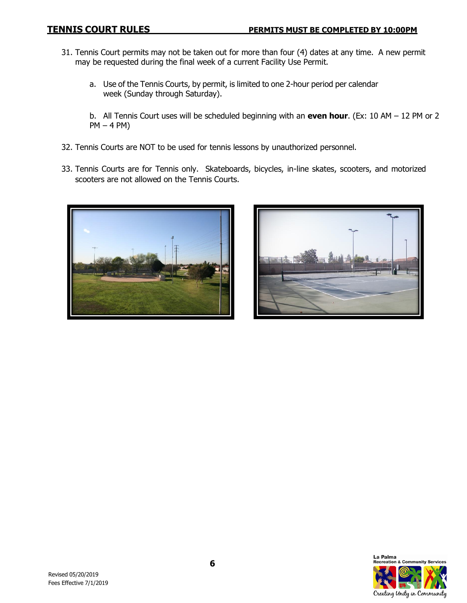- 31. Tennis Court permits may not be taken out for more than four (4) dates at any time. A new permit may be requested during the final week of a current Facility Use Permit.
	- a. Use of the Tennis Courts, by permit, is limited to one 2-hour period per calendar week (Sunday through Saturday).
	- b. All Tennis Court uses will be scheduled beginning with an **even hour**. (Ex: 10 AM 12 PM or 2 PM – 4 PM)
- 32. Tennis Courts are NOT to be used for tennis lessons by unauthorized personnel.
- 33. Tennis Courts are for Tennis only. Skateboards, bicycles, in-line skates, scooters, and motorized scooters are not allowed on the Tennis Courts.